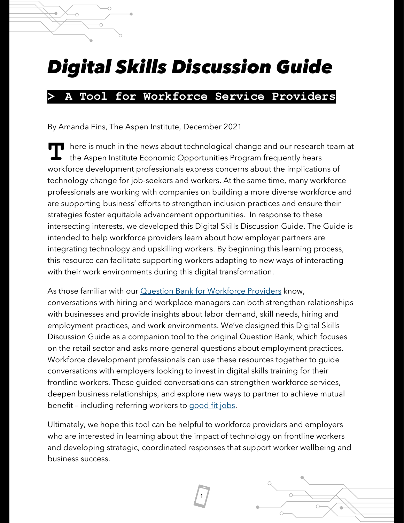# *Digital Skills Discussion Guide*

#### **> A Tool for Workforce Service Providers**

By Amanda Fins, The Aspen Institute, December 2021

here is much in the news about technological change and our research team at the Aspen Institute Economic Opportunities Program frequently hears workforce development professionals express concerns about the implications of technology change for job-seekers and workers. At the same time, many workforce professionals are working with companies on building a more diverse workforce and are supporting business' efforts to strengthen inclusion practices and ensure their strategies foster equitable advancement opportunities. In response to these intersecting interests, we developed this Digital Skills Discussion Guide. The Guide is intended to help workforce providers learn about how employer partners are integrating technology and upskilling workers. By beginning this learning process, this resource can facilitate supporting workers adapting to new ways of interacting with their work environments during this digital transformation. **T**

As those familiar with our **[Question Bank for Workforce Providers](https://www.aspeninstitute.org/publications/question-bank-for-workforce-service-providers-a-tool-for-working-with-retailers/)** know, conversations with hiring and workplace managers can both strengthen relationships with businesses and provide insights about labor demand, skill needs, hiring and employment practices, and work environments. We've designed this Digital Skills Discussion Guide as a companion tool to the original Question Bank, which focuses on the retail sector and asks more general questions about employment practices. Workforce development professionals can use these resources together to guide conversations with employers looking to invest in digital skills training for their frontline workers. These guided conversations can strengthen workforce services, deepen business relationships, and explore new ways to partner to achieve mutual benefit – including referring workers to [good fit jobs.](https://www.aspeninstitute.org/publications/good-fit-jobs/)

Ultimately, we hope this tool can be helpful to workforce providers and employers who are interested in learning about the impact of technology on frontline workers and developing strategic, coordinated responses that support worker wellbeing and business success.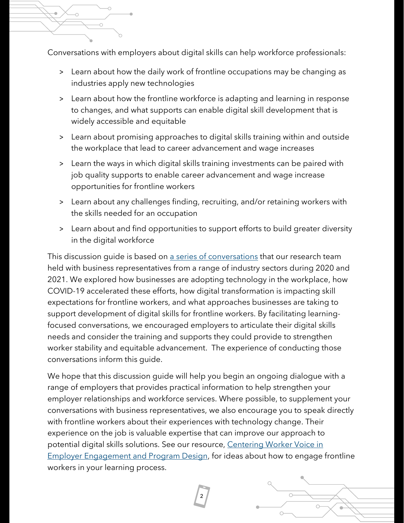

Conversations with employers about digital skills can help workforce professionals:

- > Learn about how the daily work of frontline occupations may be changing as industries apply new technologies
- > Learn about how the frontline workforce is adapting and learning in response to changes, and what supports can enable digital skill development that is widely accessible and equitable
- > Learn about promising approaches to digital skills training within and outside the workplace that lead to career advancement and wage increases
- > Learn the ways in which digital skills training investments can be paired with job quality supports to enable career advancement and wage increase opportunities for frontline workers
- > Learn about any challenges finding, recruiting, and/or retaining workers with the skills needed for an occupation
- > Learn about and find opportunities to support efforts to build greater diversity in the digital workforce

This discussion guide is based on [a series of conversations](https://www.aspeninstitute.org/of-interest/how-2020-affected-businesses-skills-and-equity-at-work/) that our research team held with business representatives from a range of industry sectors during 2020 and 2021. We explored how businesses are adopting technology in the workplace, how COVID-19 accelerated these efforts, how digital transformation is impacting skill expectations for frontline workers, and what approaches businesses are taking to support development of digital skills for frontline workers. By facilitating learningfocused conversations, we encouraged employers to articulate their digital skills needs and consider the training and supports they could provide to strengthen worker stability and equitable advancement. The experience of conducting those conversations inform this guide.

We hope that this discussion guide will help you begin an ongoing dialogue with a range of employers that provides practical information to help strengthen your employer relationships and workforce services. Where possible, to supplement your conversations with business representatives, we also encourage you to speak directly with frontline workers about their experiences with technology change. Their experience on the job is valuable expertise that can improve our approach to potential digital skills solutions. See our resource, [Centering Worker Voice](https://www.aspeninstitute.org/publications/centering-worker-voice-in-employer-engagement-and-program-design-a-guide-for-workforce-organizations/) in [Employer Engagement and Program Design,](https://www.aspeninstitute.org/publications/centering-worker-voice-in-employer-engagement-and-program-design-a-guide-for-workforce-organizations/) for ideas about how to engage frontline workers in your learning process.

**2**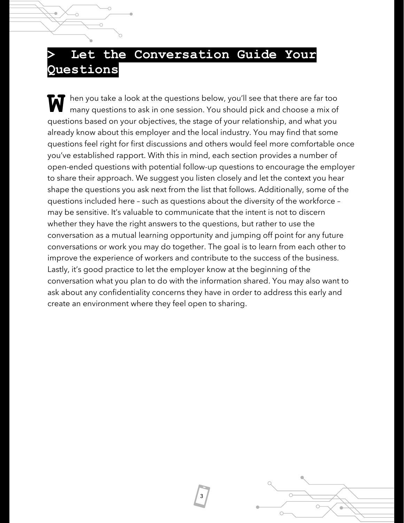#### **> Let the Conversation Guide Your Questions**

hen you take a look at the questions below, you'll see that there are far too many questions to ask in one session. You should pick and choose a mix of questions based on your objectives, the stage of your relationship, and what you already know about this employer and the local industry. You may find that some questions feel right for first discussions and others would feel more comfortable once you've established rapport. With this in mind, each section provides a number of open-ended questions with potential follow-up questions to encourage the employer to share their approach. We suggest you listen closely and let the context you hear shape the questions you ask next from the list that follows. Additionally, some of the questions included here – such as questions about the diversity of the workforce – may be sensitive. It's valuable to communicate that the intent is not to discern whether they have the right answers to the questions, but rather to use the conversation as a mutual learning opportunity and jumping off point for any future conversations or work you may do together. The goal is to learn from each other to improve the experience of workers and contribute to the success of the business. Lastly, it's good practice to let the employer know at the beginning of the conversation what you plan to do with the information shared. You may also want to ask about any confidentiality concerns they have in order to address this early and create an environment where they feel open to sharing. **W**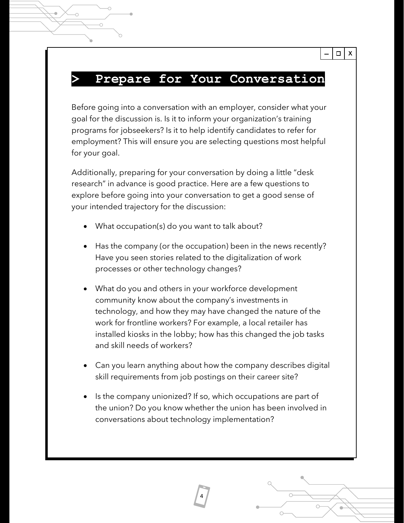#### **> Prepare for Your Conversation**

 $\Box$  X

Before going into a conversation with an employer, consider what your goal for the discussion is. Is it to inform your organization's training programs for jobseekers? Is it to help identify candidates to refer for employment? This will ensure you are selecting questions most helpful for your goal.

Additionally, preparing for your conversation by doing a little "desk research" in advance is good practice. Here are a few questions to explore before going into your conversation to get a good sense of your intended trajectory for the discussion:

- What occupation(s) do you want to talk about?
- Has the company (or the occupation) been in the news recently? Have you seen stories related to the digitalization of work processes or other technology changes?
- What do you and others in your workforce development community know about the company's investments in technology, and how they may have changed the nature of the work for frontline workers? For example, a local retailer has installed kiosks in the lobby; how has this changed the job tasks and skill needs of workers?
- Can you learn anything about how the company describes digital skill requirements from job postings on their career site?
- Is the company unionized? If so, which occupations are part of the union? Do you know whether the union has been involved in conversations about technology implementation?

**4**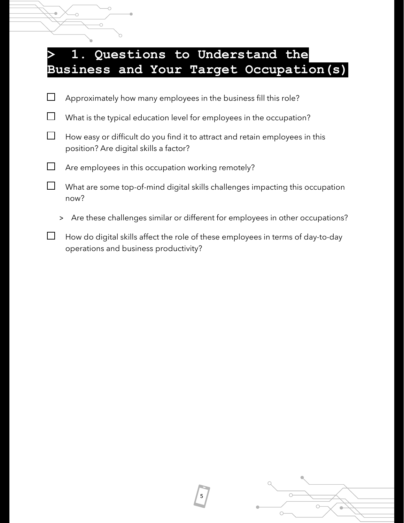### **> 1. Questions to Understand the Business and Your Target Occupation(s)**

 $\bigcirc$ 

Ō

| Approximately how many employees in the business fill this role?                                                                                                                                                                     |
|--------------------------------------------------------------------------------------------------------------------------------------------------------------------------------------------------------------------------------------|
| What is the typical education level for employees in the occupation?                                                                                                                                                                 |
| How easy or difficult do you find it to attract and retain employees in this<br>position? Are digital skills a factor?                                                                                                               |
| Are employees in this occupation working remotely?                                                                                                                                                                                   |
| What are some top-of-mind digital skills challenges impacting this occupation<br>now?                                                                                                                                                |
| Are these challenges similar or different for employees in other occupations?<br>$\geq$                                                                                                                                              |
| $\mathbf{r}$ and $\mathbf{r}$ are the set of the set of the set of the set of the set of the set of the set of the set of the set of the set of the set of the set of the set of the set of the set of the set of the set of the set |

 $\Box$  How do digital skills affect the role of these employees in terms of day-to-day operations and business productivity?

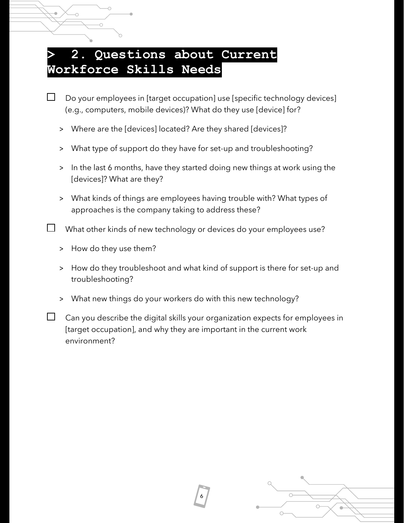#### **> 2. Questions about Current Workforce Skills Needs**

- Do your employees in [target occupation] use [specific technology devices] (e.g., computers, mobile devices)? What do they use [device] for?
	- > Where are the [devices] located? Are they shared [devices]?
	- > What type of support do they have for set-up and troubleshooting?
	- > In the last 6 months, have they started doing new things at work using the [devices]? What are they?
	- > What kinds of things are employees having trouble with? What types of approaches is the company taking to address these?
- $\Box$  What other kinds of new technology or devices do your employees use?
	- > How do they use them?

Ċ

- > How do they troubleshoot and what kind of support is there for set-up and troubleshooting?
- > What new things do your workers do with this new technology?
- $\Box$ Can you describe the digital skills your organization expects for employees in [target occupation], and why they are important in the current work environment?

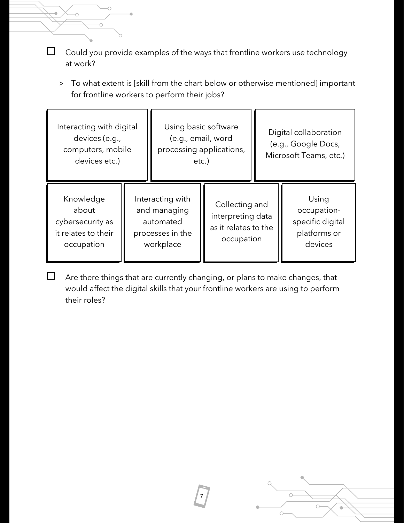Could you provide examples of the ways that frontline workers use technology  $\Box$ at work?

Ö

Ö

> To what extent is [skill from the chart below or otherwise mentioned] important for frontline workers to perform their jobs?

| Interacting with digital<br>devices (e.g.,<br>computers, mobile<br>devices etc.) |                                                                                | Using basic software<br>(e.g., email, word<br>processing applications,<br>etc.) |                                                                           | Digital collaboration<br>(e.g., Google Docs,<br>Microsoft Teams, etc.) |                                                                     |
|----------------------------------------------------------------------------------|--------------------------------------------------------------------------------|---------------------------------------------------------------------------------|---------------------------------------------------------------------------|------------------------------------------------------------------------|---------------------------------------------------------------------|
| Knowledge<br>about<br>cybersecurity as<br>it relates to their<br>occupation      | Interacting with<br>and managing<br>automated<br>processes in the<br>workplace |                                                                                 | Collecting and<br>interpreting data<br>as it relates to the<br>occupation |                                                                        | Using<br>occupation-<br>specific digital<br>platforms or<br>devices |

 $\Box$ Are there things that are currently changing, or plans to make changes, that would affect the digital skills that your frontline workers are using to perform their roles?

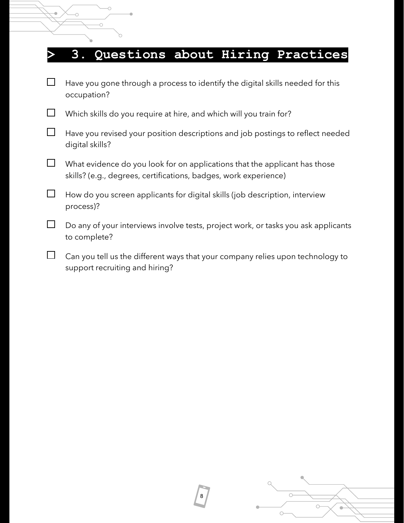## **> 3. Questions about Hiring Practices**

| $\Box$ | Have you gone through a process to identify the digital skills needed for this<br>occupation?                                                  |
|--------|------------------------------------------------------------------------------------------------------------------------------------------------|
|        | Which skills do you require at hire, and which will you train for?                                                                             |
| ⊔      | Have you revised your position descriptions and job postings to reflect needed<br>digital skills?                                              |
| $\Box$ | What evidence do you look for on applications that the applicant has those<br>skills? (e.g., degrees, certifications, badges, work experience) |
| $\Box$ | How do you screen applicants for digital skills (job description, interview<br>process)?                                                       |
| $\Box$ | Do any of your interviews involve tests, project work, or tasks you ask applicants<br>to complete?                                             |
|        | Can you tell us the different ways that your company relies upon technology to                                                                 |

**8**

support recruiting and hiring?

ó

 $\overline{\circ}$ 

 $\circ$ 

r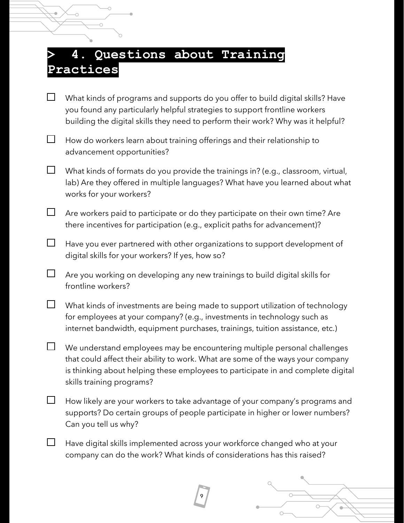### **> 4. Questions about Training Practices**

- What kinds of programs and supports do you offer to build digital skills? Have you found any particularly helpful strategies to support frontline workers building the digital skills they need to perform their work? Why was it helpful?
- $\Box$ How do workers learn about training offerings and their relationship to advancement opportunities?
- $\Box$ What kinds of formats do you provide the trainings in? (e.g., classroom, virtual, lab) Are they offered in multiple languages? What have you learned about what works for your workers?
- $\Box$ Are workers paid to participate or do they participate on their own time? Are there incentives for participation (e.g., explicit paths for advancement)?
- $\Box$ Have you ever partnered with other organizations to support development of digital skills for your workers? If yes, how so?
- $\Box$ Are you working on developing any new trainings to build digital skills for frontline workers?
- $\Box$ What kinds of investments are being made to support utilization of technology for employees at your company? (e.g., investments in technology such as internet bandwidth, equipment purchases, trainings, tuition assistance, etc.)
- $\Box$ We understand employees may be encountering multiple personal challenges that could affect their ability to work. What are some of the ways your company is thinking about helping these employees to participate in and complete digital skills training programs?
- $\Box$ How likely are your workers to take advantage of your company's programs and supports? Do certain groups of people participate in higher or lower numbers? Can you tell us why?
- $\Box$ Have digital skills implemented across your workforce changed who at your company can do the work? What kinds of considerations has this raised?

**9**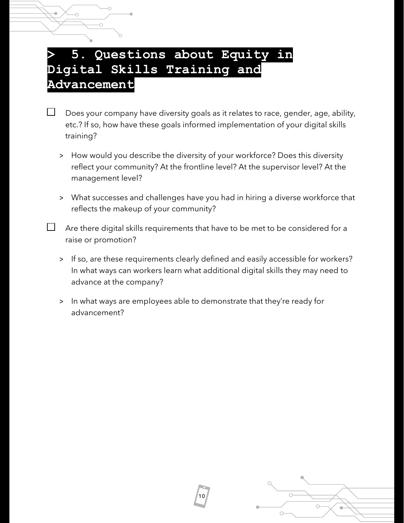#### **> 5. Questions about Equity in Digital Skills Training and Advancement**

Does your company have diversity goals as it relates to race, gender, age, ability, etc.? If so, how have these goals informed implementation of your digital skills training?

- > How would you describe the diversity of your workforce? Does this diversity reflect your community? At the frontline level? At the supervisor level? At the management level?
- > What successes and challenges have you had in hiring a diverse workforce that reflects the makeup of your community?

 $\Box$  Are there digital skills requirements that have to be met to be considered for a raise or promotion?

- > If so, are these requirements clearly defined and easily accessible for workers? In what ways can workers learn what additional digital skills they may need to advance at the company?
- > In what ways are employees able to demonstrate that they're ready for advancement?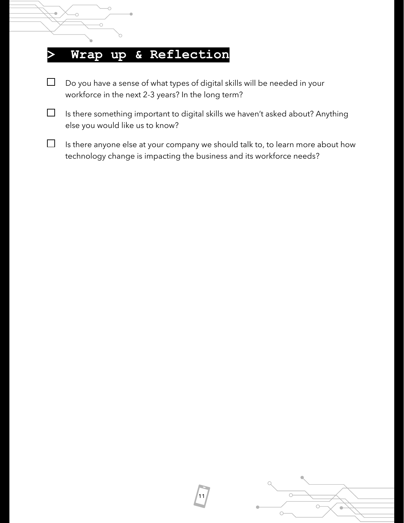# $\bigcirc$  $\circ$

#### **> Wrap up & Reflection**

- $\Box$ Do you have a sense of what types of digital skills will be needed in your workforce in the next 2-3 years? In the long term?
- $\Box$ Is there something important to digital skills we haven't asked about? Anything else you would like us to know?
- $\Box$ Is there anyone else at your company we should talk to, to learn more about how technology change is impacting the business and its workforce needs?